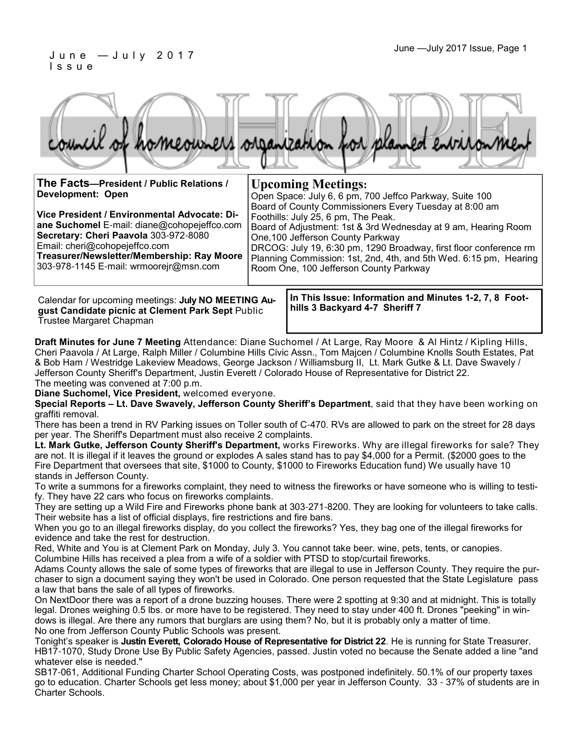### June —July 2017 Issue, Page 1 J u n e — J u l y 2 0 1 7 I s s u e



| The Facts-President / Public Relations /                                                                                                                                                                                                                      | <b>Upcoming Meetings:</b>                                                                                                                                                                                                                                                                                                                                                                |  |
|---------------------------------------------------------------------------------------------------------------------------------------------------------------------------------------------------------------------------------------------------------------|------------------------------------------------------------------------------------------------------------------------------------------------------------------------------------------------------------------------------------------------------------------------------------------------------------------------------------------------------------------------------------------|--|
| Development: Open                                                                                                                                                                                                                                             | Open Space: July 6, 6 pm, 700 Jeffco Parkway, Suite 100                                                                                                                                                                                                                                                                                                                                  |  |
| Vice President / Environmental Advocate: Di-<br>ane Suchomel E-mail: diane@cohopejeffco.com<br>Secretary: Cheri Paavola 303-972-8080<br>Email: cheri@cohopejeffco.com<br>Treasurer/Newsletter/Membership: Ray Moore<br>303-978-1145 E-mail: wrmoorejr@msn.com | Board of County Commissioners Every Tuesday at 8:00 am<br>Foothills: July 25, 6 pm, The Peak.<br>Board of Adjustment: 1st & 3rd Wednesday at 9 am, Hearing Room<br>One, 100 Jefferson County Parkway<br>DRCOG: July 19, 6:30 pm, 1290 Broadway, first floor conference rm<br>Planning Commission: 1st, 2nd, 4th, and 5th Wed. 6:15 pm, Hearing<br>Room One, 100 Jefferson County Parkway |  |
|                                                                                                                                                                                                                                                               |                                                                                                                                                                                                                                                                                                                                                                                          |  |

Calendar for upcoming meetings: **July NO MEETING August Candidate picnic at Clement Park Sept** Public Trustee Margaret Chapman

**In This Issue: Information and Minutes 1-2, 7, 8 Foothills 3 Backyard 4-7 Sheriff 7**

**Draft Minutes for June 7 Meeting** Attendance: Diane Suchomel / At Large, Ray Moore & Al Hintz / Kipling Hills, Cheri Paavola / At Large, Ralph Miller / Columbine Hills Civic Assn., Tom Majcen / Columbine Knolls South Estates, Pat & Bob Ham / Westridge Lakeview Meadows, George Jackson / Williamsburg II, Lt. Mark Gutke & Lt. Dave Swavely / Jefferson County Sheriff's Department, Justin Everett / Colorado House of Representative for District 22. The meeting was convened at 7:00 p.m.

**Diane Suchomel, Vice President,** welcomed everyone.

**Special Reports – Lt. Dave Swavely, Jefferson County Sheriff's Department**, said that they have been working on graffiti removal.

There has been a trend in RV Parking issues on Toller south of C-470. RVs are allowed to park on the street for 28 days per year. The Sheriff's Department must also receive 2 complaints.

**Lt. Mark Gutke, Jefferson County Sheriff's Department,** works Fireworks. Why are illegal fireworks for sale? They are not. It is illegal if it leaves the ground or explodes A sales stand has to pay \$4,000 for a Permit. (\$2000 goes to the Fire Department that oversees that site, \$1000 to County, \$1000 to Fireworks Education fund) We usually have 10 stands in Jefferson County.

To write a summons for a fireworks complaint, they need to witness the fireworks or have someone who is willing to testify. They have 22 cars who focus on fireworks complaints.

They are setting up a Wild Fire and Fireworks phone bank at 303-271-8200. They are looking for volunteers to take calls. Their website has a list of official displays, fire restrictions and fire bans.

When you go to an illegal fireworks display, do you collect the fireworks? Yes, they bag one of the illegal fireworks for evidence and take the rest for destruction.

Red, White and You is at Clement Park on Monday, July 3. You cannot take beer. wine, pets, tents, or canopies. Columbine Hills has received a plea from a wife of a soldier with PTSD to stop/curtail fireworks.

Adams County allows the sale of some types of fireworks that are illegal to use in Jefferson County. They require the purchaser to sign a document saying they won't be used in Colorado. One person requested that the State Legislature pass a law that bans the sale of all types of fireworks.

On NextDoor there was a report of a drone buzzing houses. There were 2 spotting at 9:30 and at midnight. This is totally legal. Drones weighing 0.5 lbs. or more have to be registered. They need to stay under 400 ft. Drones "peeking" in windows is illegal. Are there any rumors that burglars are using them? No, but it is probably only a matter of time. No one from Jefferson County Public Schools was present.

Tonight's speaker is **Justin Everett, Colorado House of Representative for District 22**. He is running for State Treasurer. HB17-1070, Study Drone Use By Public Safety Agencies, passed. Justin voted no because the Senate added a line "and whatever else is needed."

SB17-061, Additional Funding Charter School Operating Costs, was postponed indefinitely. 50.1% of our property taxes go to education. Charter Schools get less money; about \$1,000 per year in Jefferson County. 33 - 37% of students are in Charter Schools.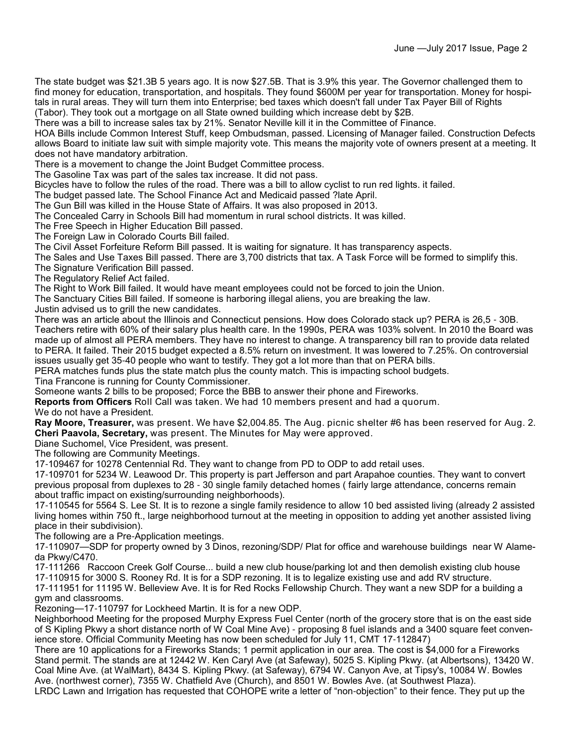The state budget was \$21.3B 5 years ago. It is now \$27.5B. That is 3.9% this year. The Governor challenged them to find money for education, transportation, and hospitals. They found \$600M per year for transportation. Money for hospitals in rural areas. They will turn them into Enterprise; bed taxes which doesn't fall under Tax Payer Bill of Rights (Tabor). They took out a mortgage on all State owned building which increase debt by \$2B.

There was a bill to increase sales tax by 21%. Senator Neville kill it in the Committee of Finance.

HOA Bills include Common Interest Stuff, keep Ombudsman, passed. Licensing of Manager failed. Construction Defects allows Board to initiate law suit with simple majority vote. This means the majority vote of owners present at a meeting. It does not have mandatory arbitration.

There is a movement to change the Joint Budget Committee process.

The Gasoline Tax was part of the sales tax increase. It did not pass.

Bicycles have to follow the rules of the road. There was a bill to allow cyclist to run red lights. it failed.

The budget passed late. The School Finance Act and Medicaid passed ?late April.

The Gun Bill was killed in the House State of Affairs. It was also proposed in 2013.

The Concealed Carry in Schools Bill had momentum in rural school districts. It was killed.

The Free Speech in Higher Education Bill passed.

The Foreign Law in Colorado Courts Bill failed.

The Civil Asset Forfeiture Reform Bill passed. It is waiting for signature. It has transparency aspects.

The Sales and Use Taxes Bill passed. There are 3,700 districts that tax. A Task Force will be formed to simplify this.

The Signature Verification Bill passed.

The Regulatory Relief Act failed.

The Right to Work Bill failed. It would have meant employees could not be forced to join the Union.

The Sanctuary Cities Bill failed. If someone is harboring illegal aliens, you are breaking the law.

Justin advised us to grill the new candidates.

There was an article about the Illinois and Connecticut pensions. How does Colorado stack up? PERA is 26,5 - 30B. Teachers retire with 60% of their salary plus health care. In the 1990s, PERA was 103% solvent. In 2010 the Board was made up of almost all PERA members. They have no interest to change. A transparency bill ran to provide data related to PERA. It failed. Their 2015 budget expected a 8.5% return on investment. It was lowered to 7.25%. On controversial issues usually get 35-40 people who want to testify. They got a lot more than that on PERA bills.

PERA matches funds plus the state match plus the county match. This is impacting school budgets.

Tina Francone is running for County Commissioner.

Someone wants 2 bills to be proposed; Force the BBB to answer their phone and Fireworks.

**Reports from Officers** Roll Call was taken. We had 10 members present and had a quorum.

We do not have a President.

**Ray Moore, Treasurer,** was present. We have \$2,004.85. The Aug. picnic shelter #6 has been reserved for Aug. 2. **Cheri Paavola, Secretary,** was present. The Minutes for May were approved.

Diane Suchomel, Vice President, was present.

The following are Community Meetings.

17-109467 for 10278 Centennial Rd. They want to change from PD to ODP to add retail uses.

17-109701 for 5234 W. Leawood Dr. This property is part Jefferson and part Arapahoe counties. They want to convert previous proposal from duplexes to 28 - 30 single family detached homes ( fairly large attendance, concerns remain about traffic impact on existing/surrounding neighborhoods).

17-110545 for 5564 S. Lee St. It is to rezone a single family residence to allow 10 bed assisted living (already 2 assisted living homes within 750 ft., large neighborhood turnout at the meeting in opposition to adding yet another assisted living place in their subdivision).

The following are a Pre-Application meetings.

17-110907—SDP for property owned by 3 Dinos, rezoning/SDP/ Plat for office and warehouse buildings near W Alameda Pkwy/C470.

17-111266 Raccoon Creek Golf Course... build a new club house/parking lot and then demolish existing club house 17-110915 for 3000 S. Rooney Rd. It is for a SDP rezoning. It is to legalize existing use and add RV structure.

17-111951 for 11195 W. Belleview Ave. It is for Red Rocks Fellowship Church. They want a new SDP for a building a gym and classrooms.

Rezoning—17-110797 for Lockheed Martin. It is for a new ODP.

Neighborhood Meeting for the proposed Murphy Express Fuel Center (north of the grocery store that is on the east side of S Kipling Pkwy a short distance north of W Coal Mine Ave) - proposing 8 fuel islands and a 3400 square feet convenience store. Official Community Meeting has now been scheduled for July 11, CMT 17-112847)

There are 10 applications for a Fireworks Stands; 1 permit application in our area. The cost is \$4,000 for a Fireworks Stand permit. The stands are at 12442 W. Ken Caryl Ave (at Safeway), 5025 S. Kipling Pkwy. (at Albertsons), 13420 W. Coal Mine Ave. (at WalMart), 8434 S. Kipling Pkwy. (at Safeway), 6794 W. Canyon Ave, at Tipsy's, 10084 W. Bowles Ave. (northwest corner), 7355 W. Chatfield Ave (Church), and 8501 W. Bowles Ave. (at Southwest Plaza).

LRDC Lawn and Irrigation has requested that COHOPE write a letter of "non-objection" to their fence. They put up the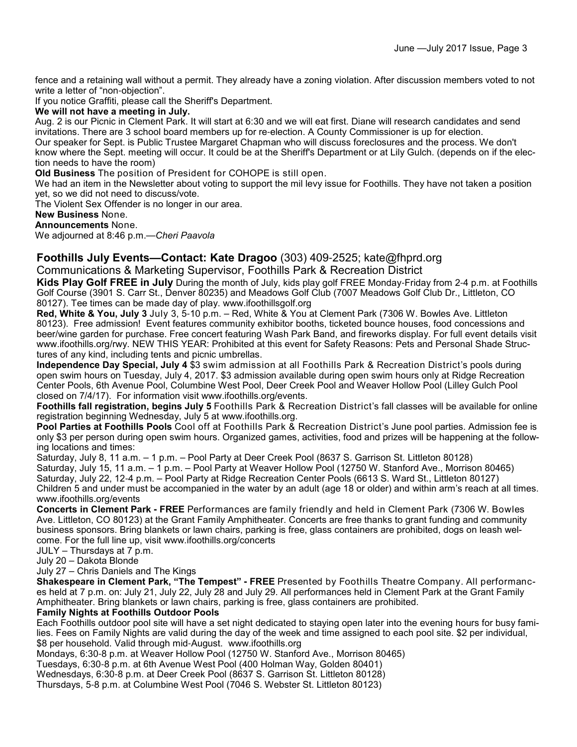fence and a retaining wall without a permit. They already have a zoning violation. After discussion members voted to not write a letter of "non-objection".

If you notice Graffiti, please call the Sheriff's Department.

#### **We will not have a meeting in July.**

Aug. 2 is our Picnic in Clement Park. It will start at 6:30 and we will eat first. Diane will research candidates and send invitations. There are 3 school board members up for re-election. A County Commissioner is up for election. Our speaker for Sept. is Public Trustee Margaret Chapman who will discuss foreclosures and the process. We don't know where the Sept. meeting will occur. It could be at the Sheriff's Department or at Lily Gulch. (depends on if the election needs to have the room)

**Old Business** The position of President for COHOPE is still open.

We had an item in the Newsletter about voting to support the mil levy issue for Foothills. They have not taken a position yet, so we did not need to discuss/vote.

The Violent Sex Offender is no longer in our area.

**New Business** None.

#### **Announcements** None.

We adjourned at 8:46 p.m.—*Cheri Paavola*

### **Foothills July Events—Contact: Kate Dragoo** (303) 409-2525; kate@fhprd.org

Communications & Marketing Supervisor, Foothills Park & Recreation District

**Kids Play Golf FREE in July** During the month of July, kids play golf FREE Monday-Friday from 2-4 p.m. at Foothills Golf Course (3901 S. Carr St., Denver 80235) and Meadows Golf Club (7007 Meadows Golf Club Dr., Littleton, CO 80127). Tee times can be made day of play. www.ifoothillsgolf.org

**Red, White & You, July 3** July 3, 5-10 p.m. – Red, White & You at Clement Park (7306 W. Bowles Ave. Littleton 80123). Free admission! Event features community exhibitor booths, ticketed bounce houses, food concessions and beer/wine garden for purchase. Free concert featuring Wash Park Band, and fireworks display. For full event details visit www.ifoothills.org/rwy. NEW THIS YEAR: Prohibited at this event for Safety Reasons: Pets and Personal Shade Structures of any kind, including tents and picnic umbrellas.

**Independence Day Special, July 4** \$3 swim admission at all Foothills Park & Recreation District's pools during open swim hours on Tuesday, July 4, 2017. \$3 admission available during open swim hours only at Ridge Recreation Center Pools, 6th Avenue Pool, Columbine West Pool, Deer Creek Pool and Weaver Hollow Pool (Lilley Gulch Pool closed on 7/4/17). For information visit www.ifoothills.org/events.

**Foothills fall registration, begins July 5** Foothills Park & Recreation District's fall classes will be available for online registration beginning Wednesday, July 5 at www.ifoothills.org.

**Pool Parties at Foothills Pools** Cool off at Foothills Park & Recreation District's June pool parties. Admission fee is only \$3 per person during open swim hours. Organized games, activities, food and prizes will be happening at the following locations and times:

Saturday, July 8, 11 a.m. – 1 p.m. – Pool Party at Deer Creek Pool (8637 S. Garrison St. Littleton 80128) Saturday, July 15, 11 a.m. – 1 p.m. – Pool Party at Weaver Hollow Pool (12750 W. Stanford Ave., Morrison 80465) Saturday, July 22, 12-4 p.m. – Pool Party at Ridge Recreation Center Pools (6613 S. Ward St., Littleton 80127) Children 5 and under must be accompanied in the water by an adult (age 18 or older) and within arm's reach at all times. www.ifoothills.org/events

**Concerts in Clement Park - FREE** Performances are family friendly and held in Clement Park (7306 W. Bowles Ave. Littleton, CO 80123) at the Grant Family Amphitheater. Concerts are free thanks to grant funding and community business sponsors. Bring blankets or lawn chairs, parking is free, glass containers are prohibited, dogs on leash welcome. For the full line up, visit www.ifoothills.org/concerts

JULY – Thursdays at 7 p.m.

July 20 – Dakota Blonde

July 27 – Chris Daniels and The Kings

**Shakespeare in Clement Park, "The Tempest" - FREE** Presented by Foothills Theatre Company. All performances held at 7 p.m. on: July 21, July 22, July 28 and July 29. All performances held in Clement Park at the Grant Family Amphitheater. Bring blankets or lawn chairs, parking is free, glass containers are prohibited.

#### **Family Nights at Foothills Outdoor Pools**

Each Foothills outdoor pool site will have a set night dedicated to staying open later into the evening hours for busy families. Fees on Family Nights are valid during the day of the week and time assigned to each pool site. \$2 per individual, \$8 per household. Valid through mid-August. www.ifoothills.org

Mondays, 6:30-8 p.m. at Weaver Hollow Pool (12750 W. Stanford Ave., Morrison 80465)

Tuesdays, 6:30-8 p.m. at 6th Avenue West Pool (400 Holman Way, Golden 80401)

Wednesdays, 6:30-8 p.m. at Deer Creek Pool (8637 S. Garrison St. Littleton 80128)

Thursdays, 5-8 p.m. at Columbine West Pool (7046 S. Webster St. Littleton 80123)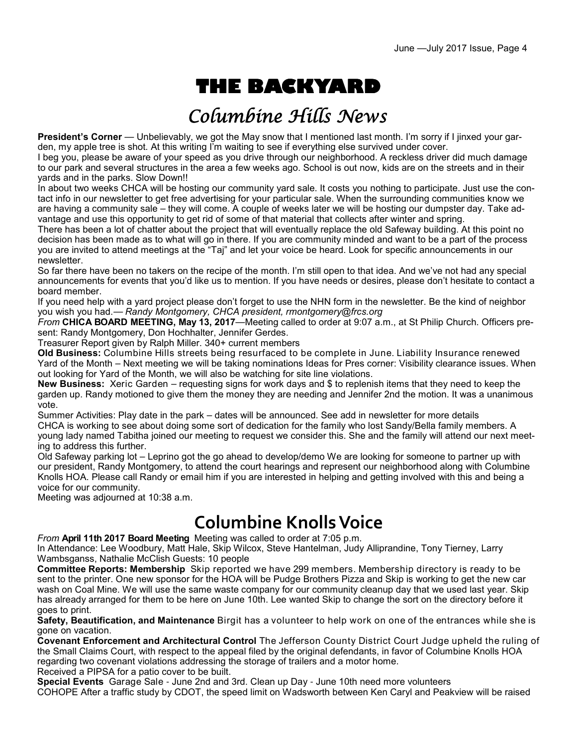# **THE BACKYARD**

# Columbine Hills News

**President's Corner** — Unbelievably, we got the May snow that I mentioned last month. I'm sorry if I jinxed your garden, my apple tree is shot. At this writing I'm waiting to see if everything else survived under cover.

I beg you, please be aware of your speed as you drive through our neighborhood. A reckless driver did much damage to our park and several structures in the area a few weeks ago. School is out now, kids are on the streets and in their yards and in the parks. Slow Down!!

In about two weeks CHCA will be hosting our community yard sale. It costs you nothing to participate. Just use the contact info in our newsletter to get free advertising for your particular sale. When the surrounding communities know we are having a community sale – they will come. A couple of weeks later we will be hosting our dumpster day. Take advantage and use this opportunity to get rid of some of that material that collects after winter and spring.

There has been a lot of chatter about the project that will eventually replace the old Safeway building. At this point no decision has been made as to what will go in there. If you are community minded and want to be a part of the process you are invited to attend meetings at the "Taj" and let your voice be heard. Look for specific announcements in our newsletter.

So far there have been no takers on the recipe of the month. I'm still open to that idea. And we've not had any special announcements for events that you'd like us to mention. If you have needs or desires, please don't hesitate to contact a board member.

If you need help with a yard project please don't forget to use the NHN form in the newsletter. Be the kind of neighbor you wish you had.— *Randy Montgomery, CHCA president, rmontgomery@frcs.org*

*From* **CHICA BOARD MEETING, May 13, 2017**—Meeting called to order at 9:07 a.m., at St Philip Church. Officers present: Randy Montgomery, Don Hochhalter, Jennifer Gerdes.

Treasurer Report given by Ralph Miller. 340+ current members

**Old Business:** Columbine Hills streets being resurfaced to be complete in June. Liability Insurance renewed Yard of the Month – Next meeting we will be taking nominations Ideas for Pres corner: Visibility clearance issues. When out looking for Yard of the Month, we will also be watching for site line violations.

**New Business:** Xeric Garden – requesting signs for work days and \$ to replenish items that they need to keep the garden up. Randy motioned to give them the money they are needing and Jennifer 2nd the motion. It was a unanimous vote.

Summer Activities: Play date in the park – dates will be announced. See add in newsletter for more details CHCA is working to see about doing some sort of dedication for the family who lost Sandy/Bella family members. A young lady named Tabitha joined our meeting to request we consider this. She and the family will attend our next meeting to address this further.

Old Safeway parking lot – Leprino got the go ahead to develop/demo We are looking for someone to partner up with our president, Randy Montgomery, to attend the court hearings and represent our neighborhood along with Columbine Knolls HOA. Please call Randy or email him if you are interested in helping and getting involved with this and being a voice for our community.

Meeting was adjourned at 10:38 a.m.

# **Columbine Knolls Voice**

*From* **April 11th 2017 Board Meeting** Meeting was called to order at 7:05 p.m.

In Attendance: Lee Woodbury, Matt Hale, Skip Wilcox, Steve Hantelman, Judy Alliprandine, Tony Tierney, Larry Wambsganss, Nathalie McClish Guests: 10 people

**Committee Reports: Membership** Skip reported we have 299 members. Membership directory is ready to be sent to the printer. One new sponsor for the HOA will be Pudge Brothers Pizza and Skip is working to get the new car wash on Coal Mine. We will use the same waste company for our community cleanup day that we used last year. Skip has already arranged for them to be here on June 10th. Lee wanted Skip to change the sort on the directory before it goes to print.

**Safety, Beautification, and Maintenance** Birgit has a volunteer to help work on one of the entrances while she is gone on vacation.

**Covenant Enforcement and Architectural Control** The Jefferson County District Court Judge upheld the ruling of the Small Claims Court, with respect to the appeal filed by the original defendants, in favor of Columbine Knolls HOA regarding two covenant violations addressing the storage of trailers and a motor home. Received a PIPSA for a patio cover to be built.

**Special Events** Garage Sale - June 2nd and 3rd. Clean up Day - June 10th need more volunteers

COHOPE After a traffic study by CDOT, the speed limit on Wadsworth between Ken Caryl and Peakview will be raised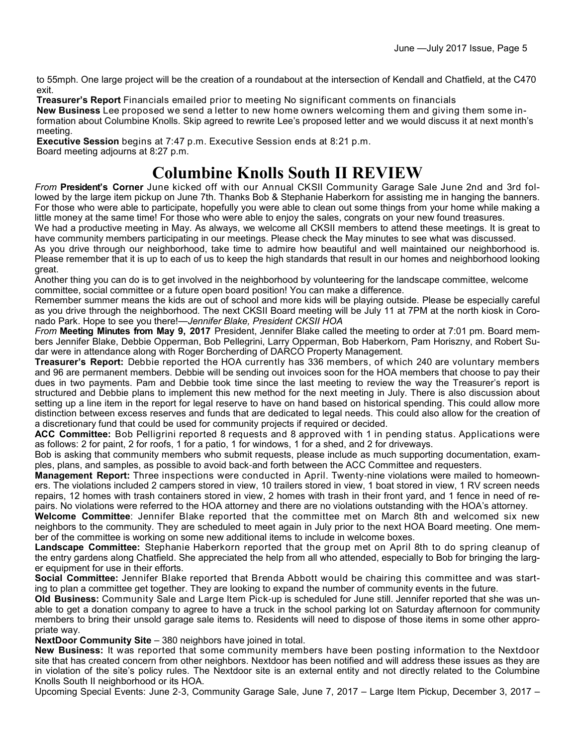to 55mph. One large project will be the creation of a roundabout at the intersection of Kendall and Chatfield, at the C470 exit.

**Treasurer's Report** Financials emailed prior to meeting No significant comments on financials

**New Business** Lee proposed we send a letter to new home owners welcoming them and giving them some information about Columbine Knolls. Skip agreed to rewrite Lee's proposed letter and we would discuss it at next month's meeting.

**Executive Session** begins at 7:47 p.m. Executive Session ends at 8:21 p.m. Board meeting adjourns at 8:27 p.m.

## **Columbine Knolls South II REVIEW**

*From* **President's Corner** June kicked off with our Annual CKSII Community Garage Sale June 2nd and 3rd followed by the large item pickup on June 7th. Thanks Bob & Stephanie Haberkorn for assisting me in hanging the banners. For those who were able to participate, hopefully you were able to clean out some things from your home while making a little money at the same time! For those who were able to enjoy the sales, congrats on your new found treasures.

We had a productive meeting in May. As always, we welcome all CKSII members to attend these meetings. It is great to have community members participating in our meetings. Please check the May minutes to see what was discussed.

As you drive through our neighborhood, take time to admire how beautiful and well maintained our neighborhood is. Please remember that it is up to each of us to keep the high standards that result in our homes and neighborhood looking great.

Another thing you can do is to get involved in the neighborhood by volunteering for the landscape committee, welcome committee, social committee or a future open board position! You can make a difference.

Remember summer means the kids are out of school and more kids will be playing outside. Please be especially careful as you drive through the neighborhood. The next CKSII Board meeting will be July 11 at 7PM at the north kiosk in Coronado Park. Hope to see you there!—*Jennifer Blake, President CKSII HOA*

*From* **Meeting Minutes from May 9, 2017** President, Jennifer Blake called the meeting to order at 7:01 pm. Board members Jennifer Blake, Debbie Opperman, Bob Pellegrini, Larry Opperman, Bob Haberkorn, Pam Horiszny, and Robert Sudar were in attendance along with Roger Borcherding of DARCO Property Management.

**Treasurer's Report:** Debbie reported the HOA currently has 336 members, of which 240 are voluntary members and 96 are permanent members. Debbie will be sending out invoices soon for the HOA members that choose to pay their dues in two payments. Pam and Debbie took time since the last meeting to review the way the Treasurer's report is structured and Debbie plans to implement this new method for the next meeting in July. There is also discussion about setting up a line item in the report for legal reserve to have on hand based on historical spending. This could allow more distinction between excess reserves and funds that are dedicated to legal needs. This could also allow for the creation of a discretionary fund that could be used for community projects if required or decided.

**ACC Committee:** Bob Pelligrini reported 8 requests and 8 approved with 1 in pending status. Applications were as follows: 2 for paint, 2 for roofs, 1 for a patio, 1 for windows, 1 for a shed, and 2 for driveways.

Bob is asking that community members who submit requests, please include as much supporting documentation, examples, plans, and samples, as possible to avoid back-and forth between the ACC Committee and requesters.

**Management Report:** Three inspections were conducted in April. Twenty-nine violations were mailed to homeowners. The violations included 2 campers stored in view, 10 trailers stored in view, 1 boat stored in view, 1 RV screen needs repairs, 12 homes with trash containers stored in view, 2 homes with trash in their front yard, and 1 fence in need of repairs. No violations were referred to the HOA attorney and there are no violations outstanding with the HOA's attorney.

**Welcome Committee**: Jennifer Blake reported that the committee met on March 8th and welcomed six new neighbors to the community. They are scheduled to meet again in July prior to the next HOA Board meeting. One member of the committee is working on some new additional items to include in welcome boxes.

**Landscape Committee:** Stephanie Haberkorn reported that the group met on April 8th to do spring cleanup of the entry gardens along Chatfield. She appreciated the help from all who attended, especially to Bob for bringing the larger equipment for use in their efforts.

**Social Committee:** Jennifer Blake reported that Brenda Abbott would be chairing this committee and was starting to plan a committee get together. They are looking to expand the number of community events in the future.

**Old Business:** Community Sale and Large Item Pick-up is scheduled for June still. Jennifer reported that she was unable to get a donation company to agree to have a truck in the school parking lot on Saturday afternoon for community members to bring their unsold garage sale items to. Residents will need to dispose of those items in some other appropriate way.

**NextDoor Community Site** – 380 neighbors have joined in total.

**New Business:** It was reported that some community members have been posting information to the Nextdoor site that has created concern from other neighbors. Nextdoor has been notified and will address these issues as they are in violation of the site's policy rules. The Nextdoor site is an external entity and not directly related to the Columbine Knolls South II neighborhood or its HOA.

Upcoming Special Events: June 2-3, Community Garage Sale, June 7, 2017 – Large Item Pickup, December 3, 2017 –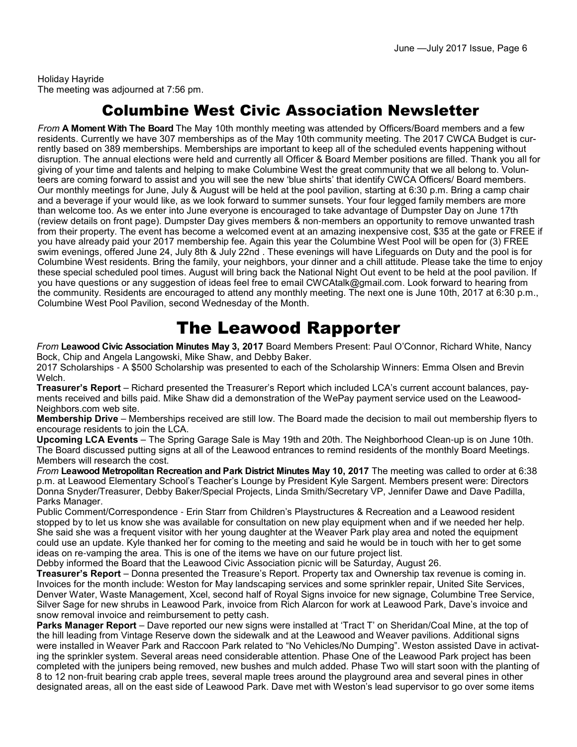Holiday Hayride The meeting was adjourned at 7:56 pm.

## Columbine West Civic Association Newsletter

*From* **A Moment With The Board** The May 10th monthly meeting was attended by Officers/Board members and a few residents. Currently we have 307 memberships as of the May 10th community meeting. The 2017 CWCA Budget is currently based on 389 memberships. Memberships are important to keep all of the scheduled events happening without disruption. The annual elections were held and currently all Officer & Board Member positions are filled. Thank you all for giving of your time and talents and helping to make Columbine West the great community that we all belong to. Volunteers are coming forward to assist and you will see the new 'blue shirts' that identify CWCA Officers/ Board members. Our monthly meetings for June, July & August will be held at the pool pavilion, starting at 6:30 p.m. Bring a camp chair and a beverage if your would like, as we look forward to summer sunsets. Your four legged family members are more than welcome too. As we enter into June everyone is encouraged to take advantage of Dumpster Day on June 17th (review details on front page). Dumpster Day gives members & non-members an opportunity to remove unwanted trash from their property. The event has become a welcomed event at an amazing inexpensive cost, \$35 at the gate or FREE if you have already paid your 2017 membership fee. Again this year the Columbine West Pool will be open for (3) FREE swim evenings, offered June 24, July 8th & July 22nd . These evenings will have Lifeguards on Duty and the pool is for Columbine West residents. Bring the family, your neighbors, your dinner and a chill attitude. Please take the time to enjoy these special scheduled pool times. August will bring back the National Night Out event to be held at the pool pavilion. If you have questions or any suggestion of ideas feel free to email CWCAtalk@gmail.com. Look forward to hearing from the community. Residents are encouraged to attend any monthly meeting. The next one is June 10th, 2017 at 6:30 p.m., Columbine West Pool Pavilion, second Wednesday of the Month.

## The Leawood Rapporter

*From* **Leawood Civic Association Minutes May 3, 2017** Board Members Present: Paul O'Connor, Richard White, Nancy Bock, Chip and Angela Langowski, Mike Shaw, and Debby Baker.

2017 Scholarships - A \$500 Scholarship was presented to each of the Scholarship Winners: Emma Olsen and Brevin Welch.

**Treasurer's Report** – Richard presented the Treasurer's Report which included LCA's current account balances, payments received and bills paid. Mike Shaw did a demonstration of the WePay payment service used on the Leawood-Neighbors.com web site.

**Membership Drive** – Memberships received are still low. The Board made the decision to mail out membership flyers to encourage residents to join the LCA.

**Upcoming LCA Events** – The Spring Garage Sale is May 19th and 20th. The Neighborhood Clean-up is on June 10th. The Board discussed putting signs at all of the Leawood entrances to remind residents of the monthly Board Meetings. Members will research the cost.

*From* **Leawood Metropolitan Recreation and Park District Minutes May 10, 2017** The meeting was called to order at 6:38 p.m. at Leawood Elementary School's Teacher's Lounge by President Kyle Sargent. Members present were: Directors Donna Snyder/Treasurer, Debby Baker/Special Projects, Linda Smith/Secretary VP, Jennifer Dawe and Dave Padilla, Parks Manager.

Public Comment/Correspondence - Erin Starr from Children's Playstructures & Recreation and a Leawood resident stopped by to let us know she was available for consultation on new play equipment when and if we needed her help. She said she was a frequent visitor with her young daughter at the Weaver Park play area and noted the equipment could use an update. Kyle thanked her for coming to the meeting and said he would be in touch with her to get some ideas on re-vamping the area. This is one of the items we have on our future project list.

Debby informed the Board that the Leawood Civic Association picnic will be Saturday, August 26.

**Treasurer's Report** – Donna presented the Treasure's Report. Property tax and Ownership tax revenue is coming in. Invoices for the month include: Weston for May landscaping services and some sprinkler repair, United Site Services, Denver Water, Waste Management, Xcel, second half of Royal Signs invoice for new signage, Columbine Tree Service, Silver Sage for new shrubs in Leawood Park, invoice from Rich Alarcon for work at Leawood Park, Dave's invoice and snow removal invoice and reimbursement to petty cash.

**Parks Manager Report** – Dave reported our new signs were installed at 'Tract T' on Sheridan/Coal Mine, at the top of the hill leading from Vintage Reserve down the sidewalk and at the Leawood and Weaver pavilions. Additional signs were installed in Weaver Park and Raccoon Park related to "No Vehicles/No Dumping". Weston assisted Dave in activating the sprinkler system. Several areas need considerable attention. Phase One of the Leawood Park project has been completed with the junipers being removed, new bushes and mulch added. Phase Two will start soon with the planting of 8 to 12 non-fruit bearing crab apple trees, several maple trees around the playground area and several pines in other designated areas, all on the east side of Leawood Park. Dave met with Weston's lead supervisor to go over some items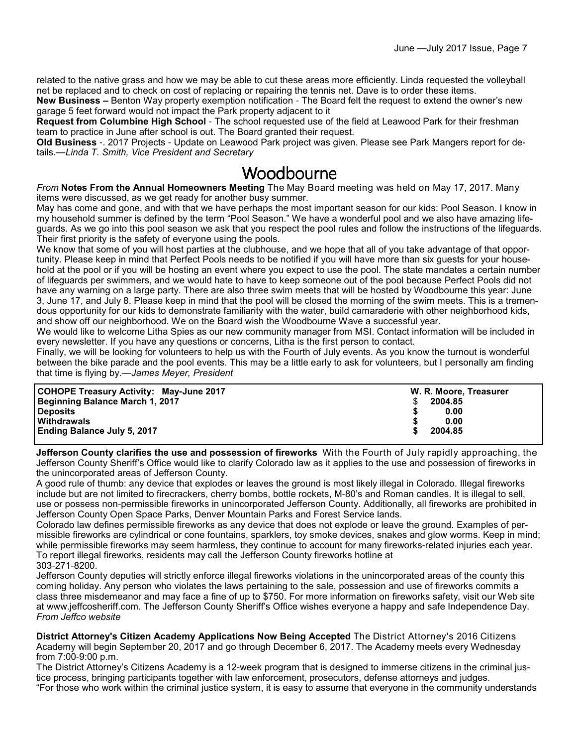related to the native grass and how we may be able to cut these areas more efficiently. Linda requested the volleyball net be replaced and to check on cost of replacing or repairing the tennis net. Dave is to order these items.

**New Business –** Benton Way property exemption notification - The Board felt the request to extend the owner's new garage 5 feet forward would not impact the Park property adjacent to it

**Request from Columbine High School** - The school requested use of the field at Leawood Park for their freshman team to practice in June after school is out. The Board granted their request.

**Old Business** -. 2017 Projects - Update on Leawood Park project was given. Please see Park Mangers report for details.—*Linda T. Smith, Vice President and Secretary*

## Woodbourne

*From* **Notes From the Annual Homeowners Meeting** The May Board meeting was held on May 17, 2017. Many items were discussed, as we get ready for another busy summer.

May has come and gone, and with that we have perhaps the most important season for our kids: Pool Season. I know in my household summer is defined by the term "Pool Season." We have a wonderful pool and we also have amazing lifeguards. As we go into this pool season we ask that you respect the pool rules and follow the instructions of the lifeguards. Their first priority is the safety of everyone using the pools.

We know that some of you will host parties at the clubhouse, and we hope that all of you take advantage of that opportunity. Please keep in mind that Perfect Pools needs to be notified if you will have more than six guests for your household at the pool or if you will be hosting an event where you expect to use the pool. The state mandates a certain number of lifeguards per swimmers, and we would hate to have to keep someone out of the pool because Perfect Pools did not have any warning on a large party. There are also three swim meets that will be hosted by Woodbourne this year: June 3, June 17, and July 8. Please keep in mind that the pool will be closed the morning of the swim meets. This is a tremendous opportunity for our kids to demonstrate familiarity with the water, build camaraderie with other neighborhood kids, and show off our neighborhood. We on the Board wish the Woodbourne Wave a successful year.

We would like to welcome Litha Spies as our new community manager from MSI. Contact information will be included in every newsletter. If you have any questions or concerns, Litha is the first person to contact.

Finally, we will be looking for volunteers to help us with the Fourth of July events. As you know the turnout is wonderful between the bike parade and the pool events. This may be a little early to ask for volunteers, but I personally am finding that time is flying by.—*James Meyer, President*

|  | <b>COHOPE Treasury Activity: May-June 2017</b><br>W. R. Moore, Treasurer<br><b>Beginning Balance March 1, 2017</b><br>2004.85<br><b>Deposits</b><br>0.00<br>Withdrawals<br>0.00<br><b>Ending Balance July 5, 2017</b><br>2004.85 |  |
|--|----------------------------------------------------------------------------------------------------------------------------------------------------------------------------------------------------------------------------------|--|
|--|----------------------------------------------------------------------------------------------------------------------------------------------------------------------------------------------------------------------------------|--|

**Jefferson County clarifies the use and possession of fireworks** With the Fourth of July rapidly approaching, the Jefferson County Sheriff's Office would like to clarify Colorado law as it applies to the use and possession of fireworks in the unincorporated areas of Jefferson County.

A good rule of thumb: any device that explodes or leaves the ground is most likely illegal in Colorado. Illegal fireworks include but are not limited to firecrackers, cherry bombs, bottle rockets, M-80's and Roman candles. It is illegal to sell, use or possess non-permissible fireworks in unincorporated Jefferson County. Additionally, all fireworks are prohibited in Jefferson County Open Space Parks, Denver Mountain Parks and Forest Service lands.

Colorado law defines permissible fireworks as any device that does not explode or leave the ground. Examples of permissible fireworks are cylindrical or cone fountains, sparklers, toy smoke devices, snakes and glow worms. Keep in mind; while permissible fireworks may seem harmless, they continue to account for many fireworks-related injuries each year. To report illegal fireworks, residents may call the Jefferson County fireworks hotline at 303-271-8200.

Jefferson County deputies will strictly enforce illegal fireworks violations in the unincorporated areas of the county this coming holiday. Any person who violates the laws pertaining to the sale, possession and use of fireworks commits a class three misdemeanor and may face a fine of up to \$750. For more information on fireworks safety, visit our Web site at www.jeffcosheriff.com. The Jefferson County Sheriff's Office wishes everyone a happy and safe Independence Day. *From Jeffco website*

**District Attorney's Citizen Academy Applications Now Being Accepted** The District Attorney's 2016 Citizens Academy will begin September 20, 2017 and go through December 6, 2017. The Academy meets every Wednesday from 7:00-9:00 p.m.

The District Attorney's Citizens Academy is a 12-week program that is designed to immerse citizens in the criminal justice process, bringing participants together with law enforcement, prosecutors, defense attorneys and judges. "For those who work within the criminal justice system, it is easy to assume that everyone in the community understands